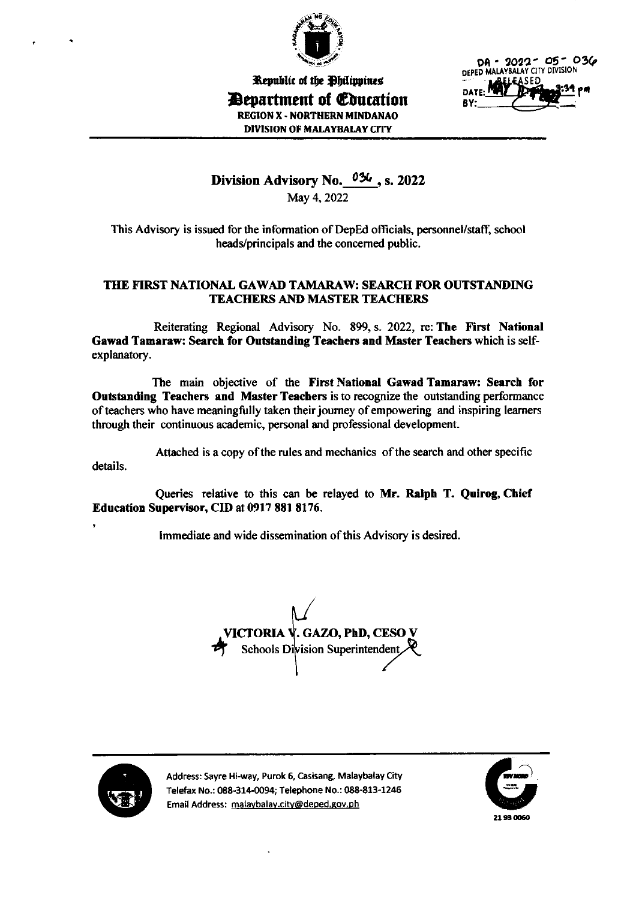

Kepublic of the Dhilippines **D**evartment of Education REGION X - NORTHERN MINDANAO DIVISION OF MALAYBALAY CITY



# Division Advisory No. 034, s. 2022

May 4,2022

This Advisory is issued for the information of DepEd officials, personnel/staff, school heads/principals and the concemed public.

## THE FIRST NATIONAL GAWAD TAMARAW: SEARCH FOR OUTSTANDING TEACHERS AND MASTER TEACHERS

Reiterating Regional Advisory No. 899, s. 2022, re: The First National Gawad Tamaraw: Search for Outstanding Teachers and Master Teachers which is selfexplanatory.

The main objective of the First National Gawed Tamaraw: Search for Outstanding Teachers and Master Teachers isto recognize the outstanding performance of teachers who have meaningfully taken their journey of empowering and inspiring learners through their continuous academic, personal and professional development.

Attached is a copy of the rules and mechanics of the search and other specific details.

Queries relative to this can be relayed to Mr. Ralph T. Quirog, Chief Education Supervisor, CID at 0917 881 8176.

lmmediate and wide dissemination of this Advisory is desired.





Address: Sayre Hi-way, Purok 6, Casisang, Malaybalay City Telefax No.: 088-314-0094; Telephone No.: 088-813-1246 Address: Sayre Hi-way, Purok 6, Casisang, Malaybalay City<br>Telefax No.: 088-314-0094; Telephone No.: 088-813-1246<br>Email Address: malaybalay.city@deped.gov.ph example 21 93 0060

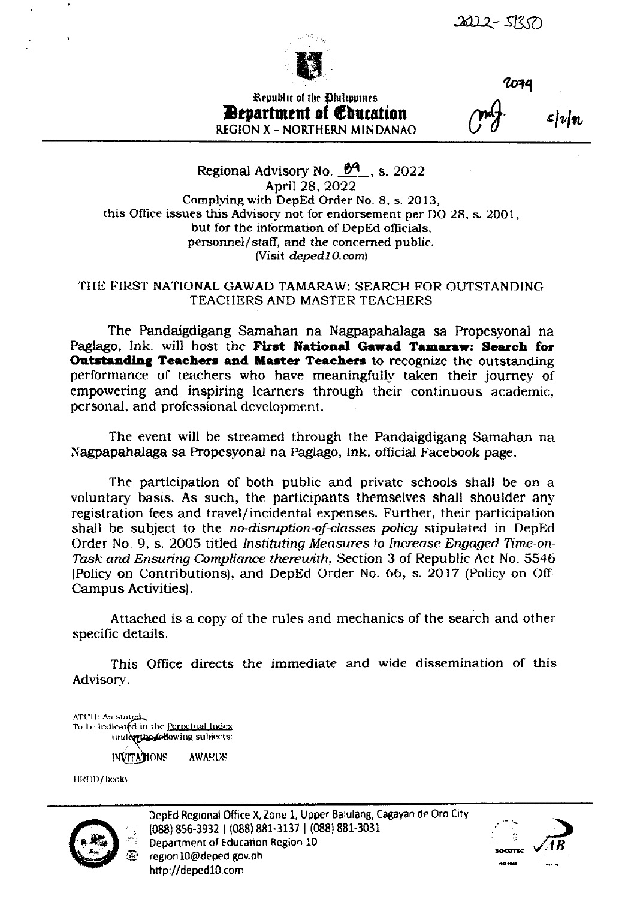

2074

Republic of the Ohilippines **Department of Education REGION X - NORTHERN MINDANAO** 

 $\boldsymbol{\mathcal{L}}$ |v|n

Regional Advisory No. 69, s. 2022 April 28, 2022 Complying with DepEd Order No. 8, s. 2013, this Office issues this Advisory not for endorsement per DO 28, s. 2001, but for the information of DepEd officials, personnel/staff, and the concerned public. (Visit deped10.com)

## THE FIRST NATIONAL GAWAD TAMARAW: SEARCH FOR OUTSTANDING TEACHERS AND MASTER TEACHERS

The Pandaigdigang Samahan na Nagpapahalaga sa Propesyonal na Paglago, Ink. will host the First National Gawad Tamaraw: Search for Outstanding Teachers and Master Teachers to recognize the outstanding performance of teachers who have meaningfully taken their journey of empowering and inspiring learners through their continuous academic, personal, and professional development.

The event will be streamed through the Pandaigdigang Samahan na Nagpapahalaga sa Propesyonal na Paglago, Ink. official Facebook page.

The participation of both public and private schools shall be on a voluntary basis. As such, the participants themselves shall shoulder any registration fees and travel/incidental expenses. Further, their participation shall be subject to the no-disruption-of-classes policy stipulated in DepEd Order No. 9, s. 2005 titled Instituting Measures to Increase Engaged Time-on-Task and Ensuring Compliance therewith, Section 3 of Republic Act No. 5546 (Policy on Contributions), and DepEd Order No. 66, s. 2017 (Policy on Off-**Campus Activities).** 

Attached is a copy of the rules and mechanics of the search and other specific details.

This Office directs the immediate and wide dissemination of this Advisory.

ATCH: As stated<br>To be indicated in the <u>Perpetual Index</u> undertine following subjects: **INVITATIONS AWARDS** 

HRDD/beckv



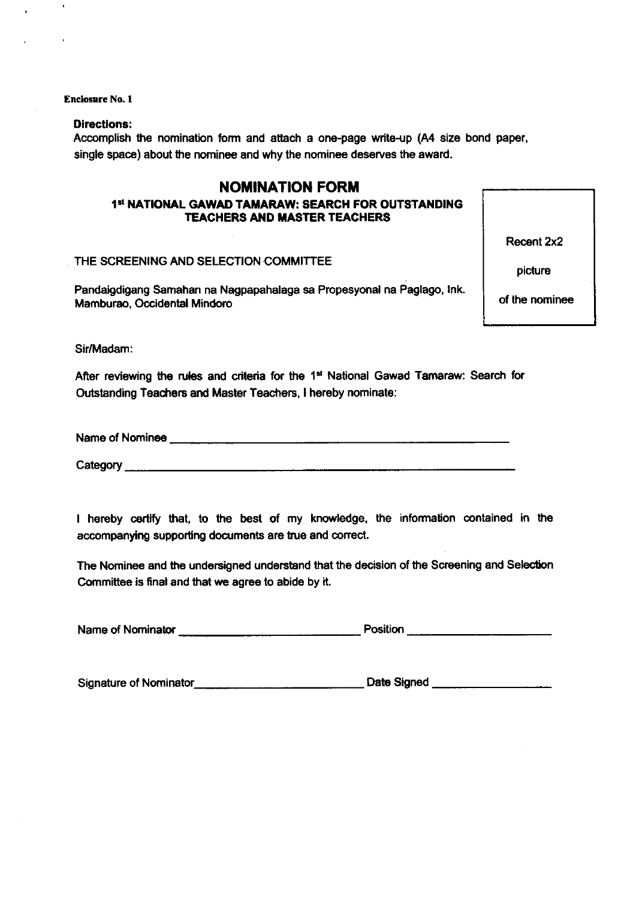**Enclosure No. 1** 

 $\pmb{\epsilon}$ 

#### **Directions:**

Accomplish the nomination form and attach a one-page write-up (A4 size bond paper, single space) about the nominee and why the nominee deserves the award.

## **NOMINATION FORM**

## 1st NATIONAL GAWAD TAMARAW: SEARCH FOR OUTSTANDING **TEACHERS AND MASTER TEACHERS**

THE SCREENING AND SELECTION COMMITTEE

Pandaigdigang Samahan na Nagpapahalaga sa Propesyonal na Paglago, Ink. Mamburao, Occidental Mindoro

Recent 2x2

picture

of the nominee

Sir/Madam:

After reviewing the rules and criteria for the 1<sup>st</sup> National Gawad Tamaraw: Search for Outstanding Teachers and Master Teachers, I hereby nominate:

Name of Nominee

Category \_\_\_\_\_\_

I hereby certify that, to the best of my knowledge, the information contained in the accompanying supporting documents are true and correct.

The Nominee and the undersigned understand that the decision of the Screening and Selection Committee is final and that we agree to abide by it.

| Name of Nominator | Position<br>____ |  |
|-------------------|------------------|--|
|                   |                  |  |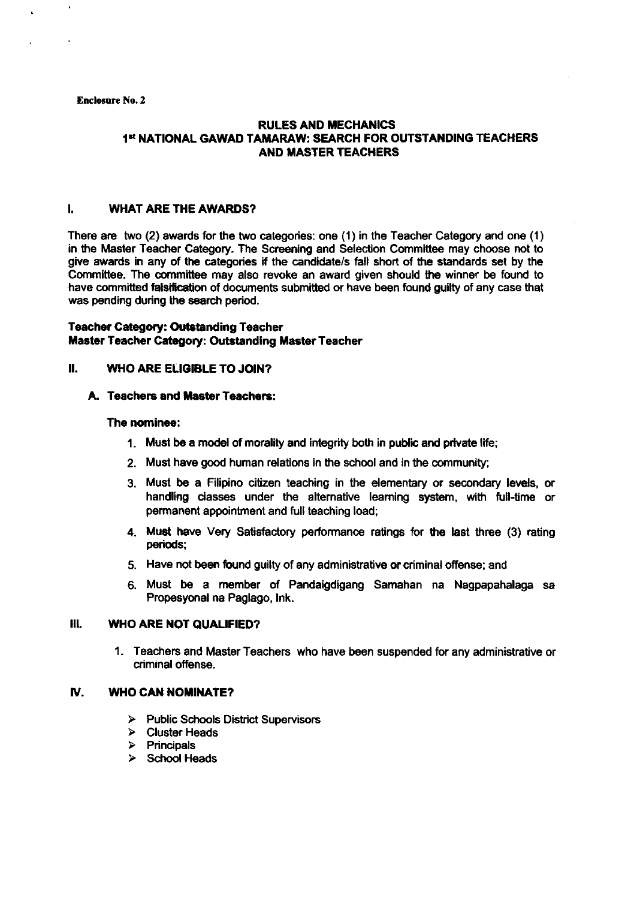#### Enclosure No. 2

## **RULES AND MECHANICS** 1st NATIONAL GAWAD TAMARAW: SEARCH FOR OUTSTANDING TEACHERS **AND MASTER TEACHERS**

#### I, WHAT ARE THE AWARDS?

There are two (2) awards for the two categories: one (1) in the Teacher Category and one (1) in the Master Teacher Category. The Screening and Selection Committee may choose not to give awards in any of the categories if the candidate/s fall short of the standards set by the Committee. The committee may also revoke an award given should the winner be found to have committed falsification of documents submitted or have been found guilty of any case that was pending during the search period.

#### **Teacher Category: Outstanding Teacher** Master Teacher Category: Outstanding Master Teacher

#### II. WHO ARE ELIGIBLE TO JOIN?

#### A. Teachers and Master Teachers:

#### The nomlnee:

- 1. Must be a model of morality and integrity both in public and private life;
- 2. Must have good human relations in the school and in the community;
- 3. Must be a Filipino citizen teaching in the elementary or secondary levels, or handling dasses under the altemative leaming system, with full-time or permanent appointment and full teaching load;
- 4. Must have Very Satisfactory performance ratings for the last three (3) rating periods;
- 5. Have not beeri found guilty of any administrative or criminal offense; and
- 6. Must be a member of Pandaigdigang Samahan na Nagpapahalaga sa Propesyonal na Peglago, lnk.

#### III. WHO ARE NOT QUALIFIED?

1. Teachers and Master Teachers who have been suspended for any administrative or criminal ofiense.

### **IV. WHO CAN NOMINATE?**

- ) Public Schools District Supervisors ) Cluster Heads }, Principals
- 
- 
- > School Heads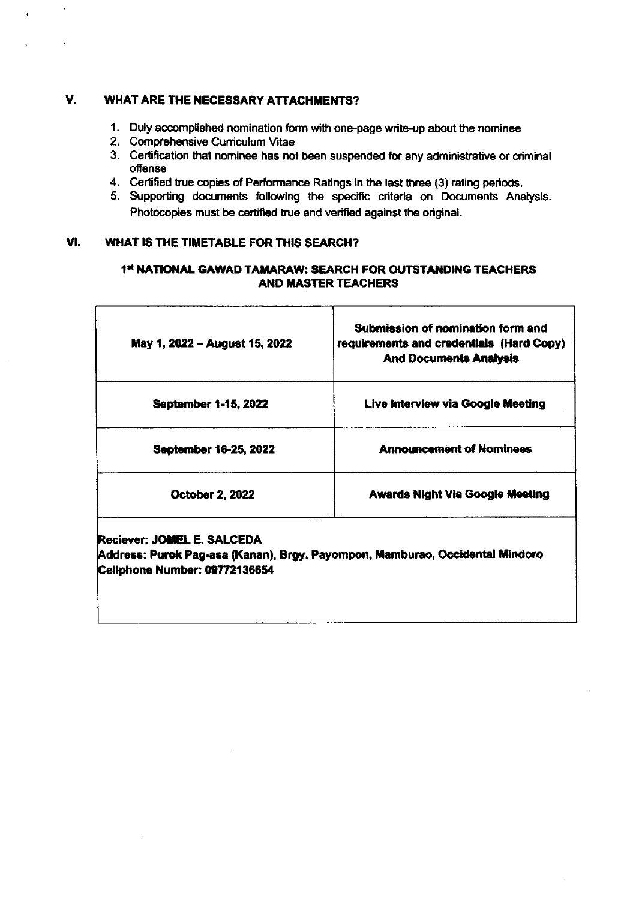#### $V_{\text{L}}$ **WHAT ARE THE NECESSARY ATTACHMENTS?**

- 1. Duly accomplished nomination form with one-page write-up about the nominee
- 2. Comprehensive Curriculum Vitae

 $\epsilon$ 

- 3. Certification that nominee has not been suspended for any administrative or criminal offense
- 4. Certified true copies of Performance Ratings in the last three (3) rating periods.
- 5. Supporting documents following the specific criteria on Documents Analysis. Photocopies must be certified true and verified against the original.

#### VI. WHAT IS THE TIMETABLE FOR THIS SEARCH?

## 1st NATIONAL GAWAD TAMARAW: SEARCH FOR OUTSTANDING TEACHERS **AND MASTER TEACHERS**

| May 1, 2022 - August 15, 2022 | Submission of nomination form and<br>requirements and credentials (Hard Copy)<br><b>And Documents Analysis</b> |
|-------------------------------|----------------------------------------------------------------------------------------------------------------|
| <b>September 1-15, 2022</b>   | Live Interview via Google Meeting                                                                              |
| September 16-25, 2022         | <b>Announcement of Nominees</b>                                                                                |
| <b>October 2, 2022</b>        | <b>Awards Night Via Google Meeting</b>                                                                         |

Reciever: JOMEL E. SALCEDA

Address: Purok Pag-asa (Kanan), Brgy. Payompon, Mamburao, Occidental Mindoro Cellphone Number: 09772136654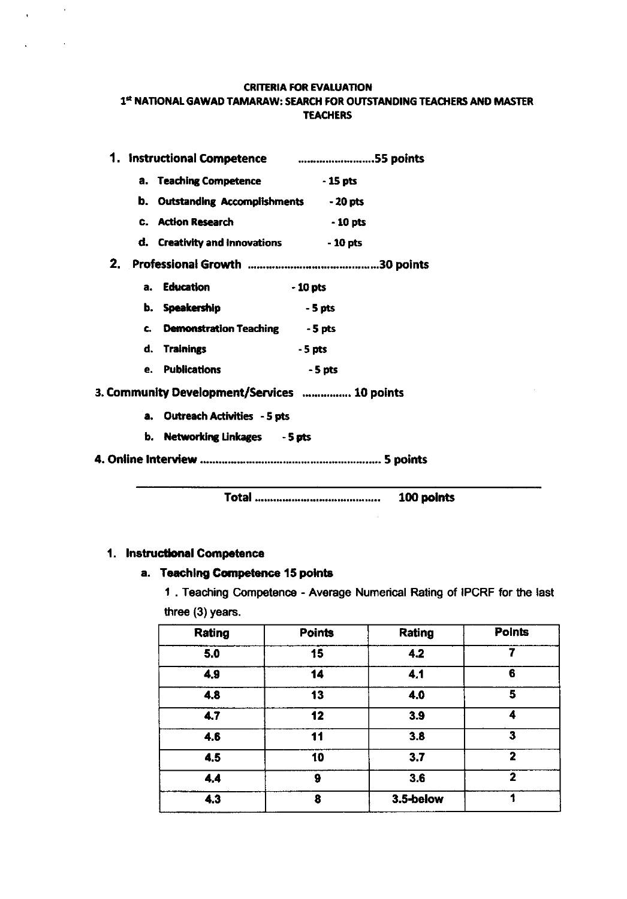#### **CRITERIA FOR EVALUATION** 1st NATIONAL GAWAD TAMARAW: SEARCH FOR OUTSTANDING TEACHERS AND MASTER **TEACHERS**

|  |                                                | 1. Instructional Competence <b>communications</b> 1. Instructional Competence |
|--|------------------------------------------------|-------------------------------------------------------------------------------|
|  | a. Teaching Competence 4.15 pts                |                                                                               |
|  | <b>b.</b> Outstanding Accomplishments - 20 pts |                                                                               |
|  | <b>C.</b> Action Research                      | $-10$ pts                                                                     |
|  | d. Creativity and Innovations - 10 pts         |                                                                               |
|  |                                                |                                                                               |
|  | a. Education                                   | - 10 pts                                                                      |
|  | b. Speakership                                 | $-5$ pts                                                                      |
|  | c. Demonstration Teaching - 5 pts              |                                                                               |
|  | d. Trainings                                   | $-5$ pts                                                                      |
|  | e. Publications                                | - 5 pts                                                                       |
|  | 3. Community Development/Services  10 points   |                                                                               |
|  | a. Outreach Activities - 5 pts                 |                                                                               |
|  | b. Networking Linkages - 5 pts                 |                                                                               |
|  |                                                |                                                                               |

100 points

## 1. Instructional Competence

 $\chi^2_{\rm{max}}$  and  $\chi^2_{\rm{max}}$ 

 $\mathcal{L}^{\text{max}}$  and  $\mathcal{L}^{\text{max}}$ 

## a. Teaching Competence 15 points

1. Teaching Competence - Average Numerical Rating of IPCRF for the last three (3) years.

| Rating | <b>Points</b> | Rating    | <b>Points</b> |
|--------|---------------|-----------|---------------|
| 5.0    | 15            | 4.2       |               |
| 4.9    | 14            | 4.1       | 6             |
| 4.8    | 13            | 4.0       | 5             |
| 4.7    | 12            | 3.9       | 4             |
| 4.6    | 11            | 3.8       | 3             |
| 4.5    | 10            | 3.7       | 2             |
| 4.4    | 9             | 3.6       | 2             |
| 4.3    | 8             | 3.5-below |               |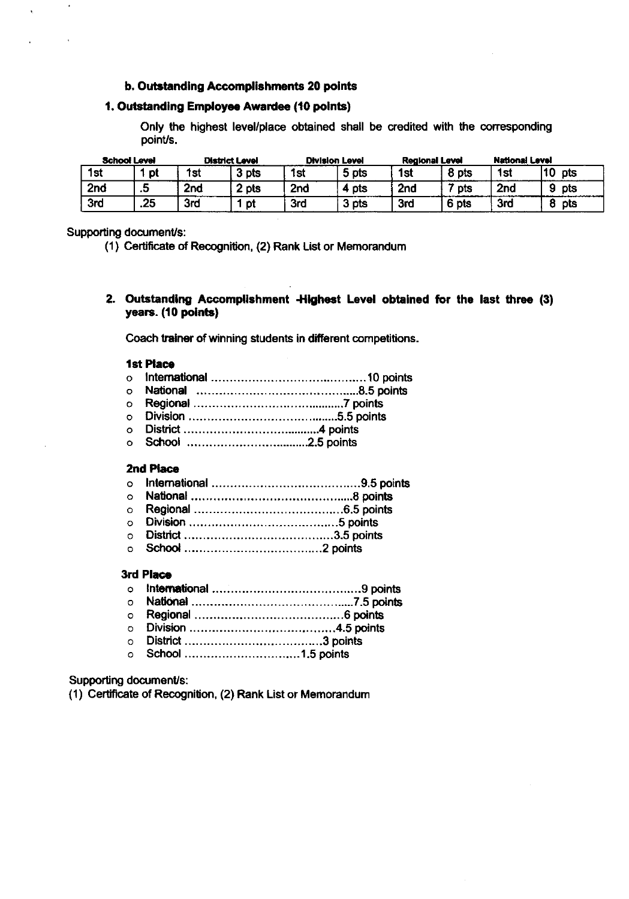#### b. Outstanding Accomplishments 20 points

## 1. Outstanding Employee Awardee (10 points)

Only the highest level/place obtained shall be credited with the corresponding point/s.

| <b>School Level</b> |     |                 | <b>District Level</b> |     | <b>Division Level</b> |                 | <b>Regional Level</b> | <b>National Level</b> |           |
|---------------------|-----|-----------------|-----------------------|-----|-----------------------|-----------------|-----------------------|-----------------------|-----------|
| 1st                 | pt  | 1 <sub>st</sub> | 3 pts                 | 1st | 5 pts                 | 1 <sub>st</sub> | $\delta$ pts          | 1st                   | 10<br>pts |
| 2nd                 | .ס  | 2 <sub>nd</sub> | . pts                 | 2nd | - pts                 | 2 <sub>nd</sub> | <b>pts</b>            | 2 <sub>nd</sub>       | o<br>pts  |
| 3rd                 | .25 | 3rd             | pt                    | 3rd | 3 pts<br>_____        | 3rd             | pts                   | 3rd                   | pts       |

#### Supporting document/s:

(1) Ceft'ficate of Recognition, (2) Rank List or Memorandum

2. Outstanding Accomplishment -Highest Level obtained for the last three (3) years. (10 polnts)

Coach trainer of winning students in different competitions.

#### **1st Place**

- o **internationa**l ………………………………………10 points
- National 8.5 poinb o
- o **Regiona**
- o
- o **District ....**
- Scfiool ... .2.5 points o

#### 2nd Placa

- o
- o
- o
- Division . ........5 pdnts o
- o Distdct ......... .......3.5 pctints
- o School ......... ....2 points

#### 3rd Place

- ... . .......<br>。 Int**ernatio**nal ………………………………………9 points
- o **National ………………………………………7.5 points** o R6gional ..............6 points
- o Division 4.5 points
- o District ..........3 points
- o School .. ....1.5 points

Supporting document/s:

(1) Certificate of Recognilion, (2) Rank List or Memorandum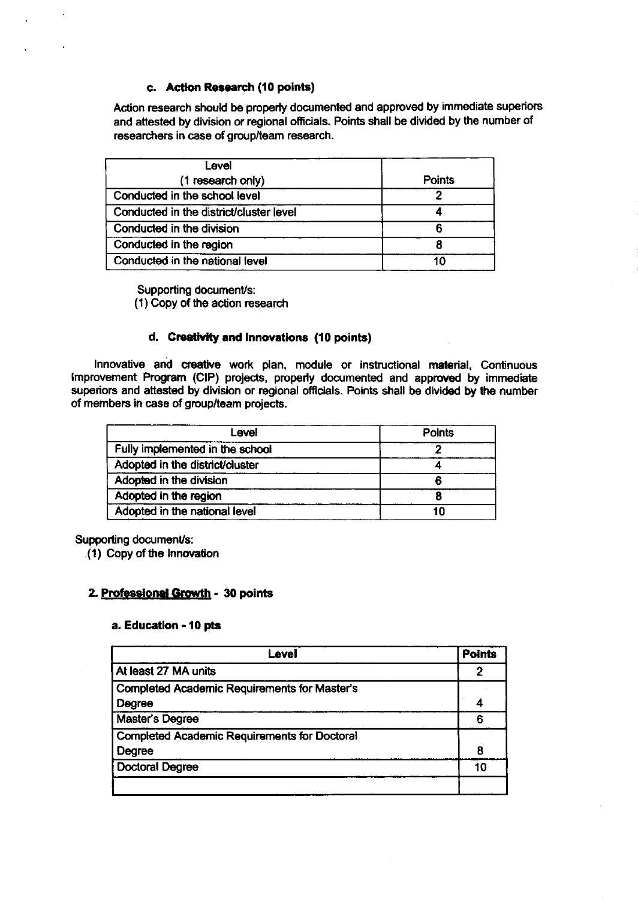## c. Action Research (10 points)

Action research should be properly documented and approved by immediate superiors and attested by division or regional officials. Points shall be divided by the number of researchers in case of group/team research.

| Level                                   |        |
|-----------------------------------------|--------|
| (1 research only)                       | Points |
| Conducted in the school level           |        |
| Conducted in the district/cluster level |        |
| Conducted in the division               |        |
| Conducted in the region                 |        |
| Conducted in the national level         | 1በ     |

Supporting document/s: (1) Copy of the action research

## d. Creativity and innovations (10 points)

Innovative and creative work plan, module or instructional material, Continuous lmprovement Program (ClP) projects, properly documented and apprcved by immediate superiors and attested by division or regional officials. Points shall be divided by the number of members in case of group/team projects.

| Level                           | <b>Points</b> |
|---------------------------------|---------------|
| Fully implemented in the school |               |
| Adopted in the district/cluster |               |
| Adopted in the division         |               |
| Adopted in the region           |               |
| Adopted in the national level   | 10            |

## Supporting document/s:

( 1 ) Copy of the lnnoYalion

## 2. Professional Growth - 30 points

#### a. Education - 10 pts

| Level                                               | <b>Points</b> |  |
|-----------------------------------------------------|---------------|--|
| At least 27 MA units                                | 2             |  |
| <b>Completed Academic Requirements for Master's</b> |               |  |
| Degree                                              |               |  |
| Master's Degree                                     | 6             |  |
| <b>Completed Academic Requirements for Doctoral</b> |               |  |
| Degree                                              | 8             |  |
| <b>Doctoral Degree</b>                              | 10            |  |
|                                                     |               |  |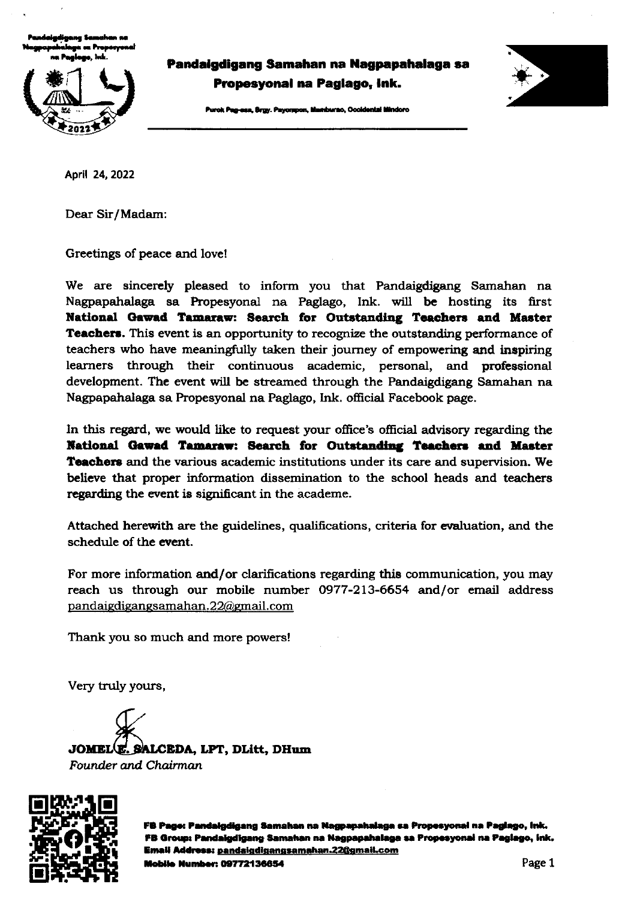tradeigdigang Samahan na<br>Nagpapahalaga sa Properyonal<br>.... Rocines Juli i maglego, hik.<br>nu Paglego, hik.



Pandaigdigang Samahan na Nagpapahalaga sa Propesyonal na Paglago, lnk.

rok Pag-asa, Brgy. Payompon, Mamburac, Occidental Mindoro



Aptil 24,2022

Dear Sir/Madam:

Greetings of peace and love!

We are sincerely pleased to inform you that Pandaigdigang Samahan na Nagpapahalaga sa Propesyonal na Pagtago, Ink. will be hosting its first National Gawad Tamaraw: Search for Outstanding Teachers and Master Teachers. This event is an opportunity to recognize the outstanding performance of teachers who have meaningfully taken their journey of empowering and inspiring learners through their continuous academic, personal, and professional development. The event will be streamed through the Pandaigdigang Samahan na Nagpapahalaga sa Propesyonal na Paglago, Ink. official Facebook page.

In this regard, we would like to request your office's official advisory regarding the National Gawad Tamaraw: Search for Outstanding Teachers and Master **Teachers** and the various academic institutions under its care and supervision. We believe that proper information dissemination to the school heads and teachers regarding the event is significant in the academe.

Attached herewith are the guidelines, qualifications, criteria for evaluation, and the schedule of the event.

For more information and/or clarifications regarding this communication, you may reach us through our mobile number 0977-213-6654 and/or email address pandaiedieanesamahan. 22@gnail. com

Thank you so much and more powers!

Very truly yours,

JOMEL<sup>(E.</sup> SALCEDA, LPT, DLitt, DHum Founder and. Chairmon



FB Page: Pandaigdigang Samahan na Nagpapahalaga sa Propesyonal na Paglago, ink. FB Group: Pandaigdigang Samahan na Nagpapahalaga sa Propesyonal na Paglago, ink. Email Address: pandaigdigangsamahan.22@gmail.com **Mobile Number: 09772136654**  $\qquad \qquad$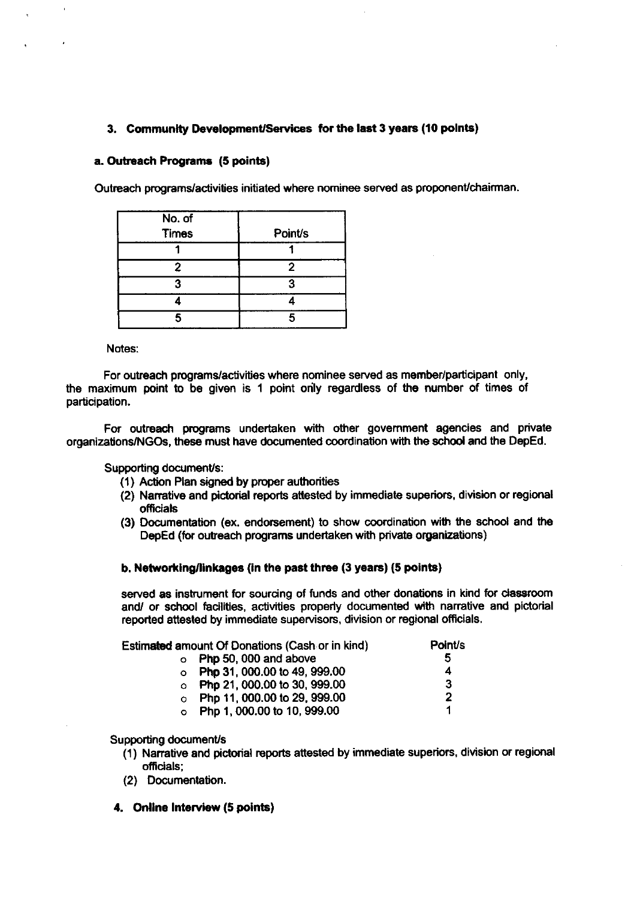## 3. Community Development/Services for the last 3 years (10 points)

#### a. Outreach Programs (5 points)

Outreach programs/activities initiated where nominee served as proponent/chairman.

| No. of<br><b>Times</b> | <b>Point/s</b> |
|------------------------|----------------|
|                        |                |
| 2                      | 2              |
|                        | o              |
|                        |                |
| ς                      |                |

Notes:

For outreach programs/activities where nominee served as member/participant only, the maximum point to be given is 1 point only regardless of the number of times of participation.

For outreach gograms undertaken with other govemment agencies and private organizationsNGOs, these must have documented coordination with the school and the DepEd.

Supporting document/s:

- (1) Action Plan signed by proper authorities
- (2) Narrative and pictorial reports attested by immediate superiors, division or regional officials
- (3) Documentation (ex. endorsement) to show coordination with the school and the DepEd (for outreach programs undertaken with private organizations)

#### b. Networking/linkages (in the past three (3 years) (5 points)

served as instrument for sourcing of funds and other donations in kind for classroom and/ or school facilities, activities properly documented with narrative and pictorial reported attested by immediate supervisors, division or regional officials.

| Estimated amount Of Donations (Cash or in kind) |                                      | Point/s |  |
|-------------------------------------------------|--------------------------------------|---------|--|
|                                                 | $\circ$ Php 50, 000 and above        | 5       |  |
|                                                 | $\circ$ Php 31, 000.00 to 49, 999.00 | 4       |  |
|                                                 | $\circ$ Php 21, 000.00 to 30, 999.00 | 3       |  |
|                                                 | o Php 11, 000.00 to 29, 999.00       | 2       |  |
|                                                 | o Php 1, 000.00 to 10, 999.00        |         |  |

Supporting document/s

- (1) Narrative and pictorial reports attested by immediate superiors, division or regional oficials;
- (2) Documentation.
- 4. Online Interview (5 points)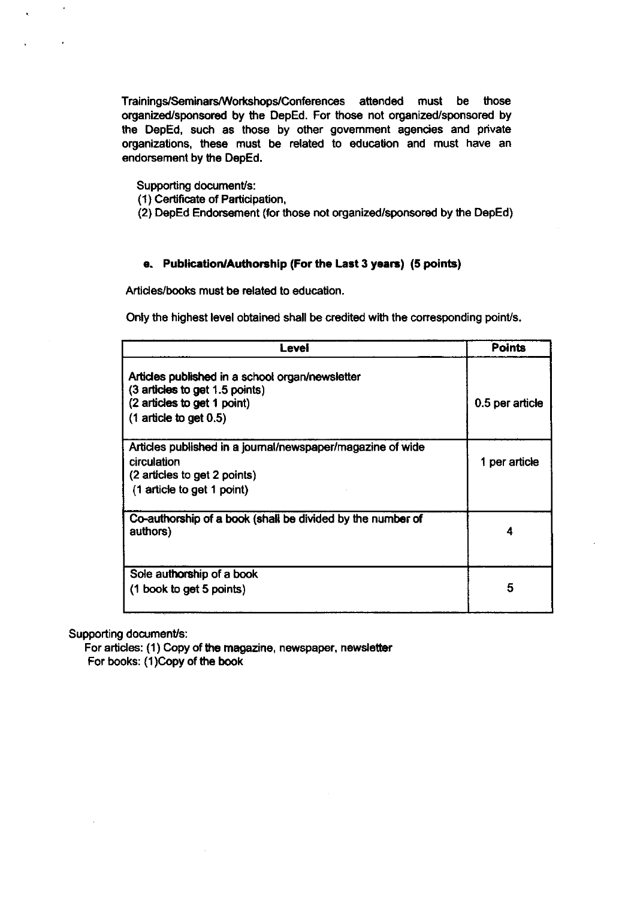Trainings/Seminars/Workshops/Conferences attended must be those organized/sponsored by the DepEd. For those not organized/sponsored by the DepEd, such as those by other govemment agencies and private organizations, these must be related to education and must have an endorsement by the DepEd.

Supporting document/s:

- (1) Certificate of Participation,
- (2) DepEd Endorsement (for those not organized/sponsored by the DepEd)

#### e. Publication/Authorship (For the Last 3 years) (5 points)

Articles/books must be related to education.

Only the highest level obtained shall be credited with the corresponding point/s.

| Level                                                                                                                                          | <b>Points</b>   |
|------------------------------------------------------------------------------------------------------------------------------------------------|-----------------|
| Articles published in a school organ/newsletter<br>(3 articles to get 1.5 points)<br>(2 articles to get 1 point)<br>$(1$ article to get $0.5)$ | 0.5 per article |
| Articles published in a journal/newspaper/magazine of wide<br>circulation<br>(2 articles to get 2 points)<br>(1 article to get 1 point)        | 1 per article   |
| Co-authorship of a book (shall be divided by the number of<br>authors)                                                                         | Δ               |
| Sole authorship of a book<br>(1 book to get 5 points)                                                                                          | 5               |

Supporting document/s:

For articles: (1) Copy of the magazine, newspaper, newsletter For books: (1)Copy of the book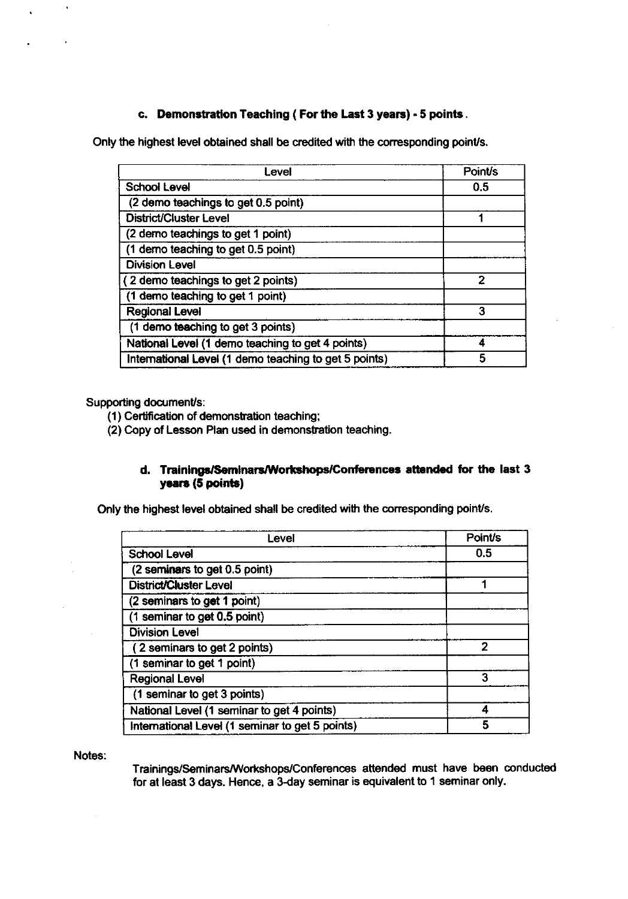## c. Demonstration Teaching ( For the Last 3 years) - 5 points.

Only the highest level obtained shall be credited with the corresponding point/s.

| Level                                                 | <b>Point/s</b> |
|-------------------------------------------------------|----------------|
| <b>School Level</b>                                   | 0.5            |
| (2 demo teachings to get 0.5 point)                   |                |
| District/Cluster Level                                |                |
| (2 demo teachings to get 1 point)                     |                |
| (1 demo teaching to get 0.5 point)                    |                |
| <b>Division Level</b>                                 |                |
| (2 demo teachings to get 2 points)                    | 2              |
| (1 demo teaching to get 1 point)                      |                |
| <b>Regional Level</b>                                 | 3              |
| (1 demo teaching to get 3 points)                     |                |
| National Level (1 demo teaching to get 4 points)      |                |
| International Level (1 demo teaching to get 5 points) | 5              |

Supporting document/s:

 $\lambda$ 

(1) Certification of demonstration teaching;

(2) Copy of Lesson Plan used in demonstration teaching.

## d. Trainings/Seminars/Workshops/Conferences attended for the last 3 years (5 points)

Only the highest level obtained shall be credited with the corresponding point/s.

| Level                                           | <b>Point/s</b> |
|-------------------------------------------------|----------------|
| <b>School Level</b>                             | 0.5            |
| (2 seminars to get 0.5 point)                   |                |
| <b>District/Cluster Level</b>                   |                |
| (2 seminars to get 1 point)                     |                |
| (1 seminar to get 0.5 point)                    |                |
| <b>Division Level</b>                           |                |
| (2 seminars to get 2 points)                    | 2              |
| (1 seminar to get 1 point)                      |                |
| <b>Regional Level</b>                           | 3              |
| (1 seminar to get 3 points)                     |                |
| National Level (1 seminar to get 4 points)      |                |
| International Level (1 seminar to get 5 points) | 5              |

Notes:

Trainings/Seminars/Workshops/Conferences attended must have been conducted for at least 3 days. Hence, a 3-day seminar is equivalent to 1 seminar only.